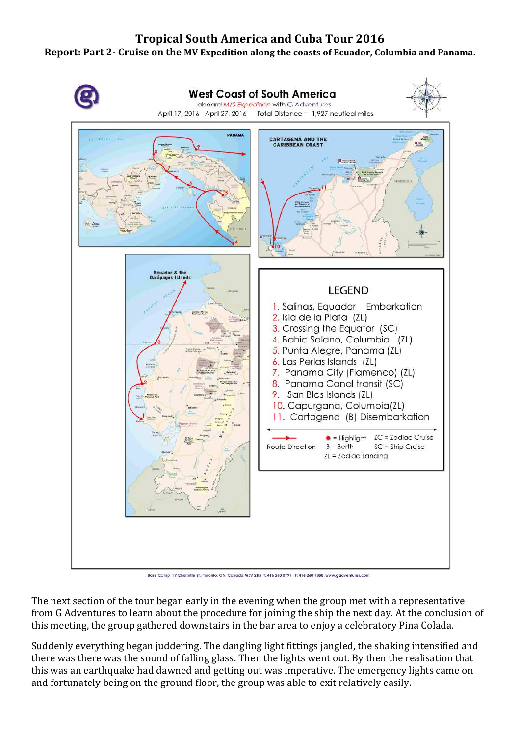## **Tropical South America and Cuba Tour 2016**

## **Report: Part 2- Cruise on the MV Expedition along the coasts of Ecuador, Columbia and Panama.**



Base Camp 19 Charlotte St., Toronto, ON, Canada M5V 2H5 T: 416 260 0999 F: 416 260 1888 www.gadventures.com

The next section of the tour began early in the evening when the group met with a representative from G Adventures to learn about the procedure for joining the ship the next day. At the conclusion of this meeting, the group gathered downstairs in the bar area to enjoy a celebratory Pina Colada.

Suddenly everything began juddering. The dangling light fittings jangled, the shaking intensified and there was there was the sound of falling glass. Then the lights went out. By then the realisation that this was an earthquake had dawned and getting out was imperative. The emergency lights came on and fortunately being on the ground floor, the group was able to exit relatively easily.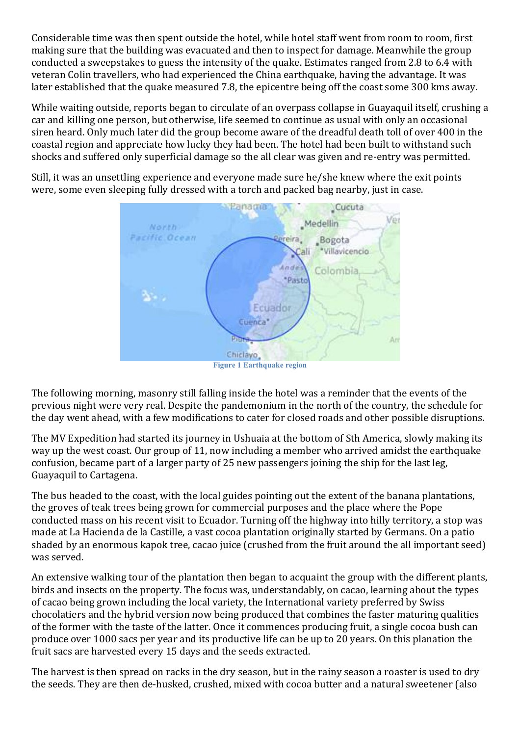Considerable time was then spent outside the hotel, while hotel staff went from room to room, first making sure that the building was evacuated and then to inspect for damage. Meanwhile the group conducted a sweepstakes to guess the intensity of the quake. Estimates ranged from 2.8 to 6.4 with veteran Colin travellers, who had experienced the China earthquake, having the advantage. It was later established that the quake measured 7.8, the epicentre being off the coast some 300 kms away.

While waiting outside, reports began to circulate of an overpass collapse in Guayaquil itself, crushing a car and killing one person, but otherwise, life seemed to continue as usual with only an occasional siren heard. Only much later did the group become aware of the dreadful death toll of over 400 in the coastal region and appreciate how lucky they had been. The hotel had been built to withstand such shocks and suffered only superficial damage so the all clear was given and re-entry was permitted.

Still, it was an unsettling experience and everyone made sure he/she knew where the exit points were, some even sleeping fully dressed with a torch and packed bag nearby, just in case.



The following morning, masonry still falling inside the hotel was a reminder that the events of the previous night were very real. Despite the pandemonium in the north of the country, the schedule for the day went ahead, with a few modifications to cater for closed roads and other possible disruptions.

The MV Expedition had started its journey in Ushuaia at the bottom of Sth America, slowly making its way up the west coast. Our group of 11, now including a member who arrived amidst the earthquake confusion, became part of a larger party of 25 new passengers joining the ship for the last leg, Guayaquil to Cartagena.

The bus headed to the coast, with the local guides pointing out the extent of the banana plantations, the groves of teak trees being grown for commercial purposes and the place where the Pope conducted mass on his recent visit to Ecuador. Turning off the highway into hilly territory, a stop was made at La Hacienda de la Castille, a vast cocoa plantation originally started by Germans. On a patio shaded by an enormous kapok tree, cacao juice (crushed from the fruit around the all important seed) was served.

An extensive walking tour of the plantation then began to acquaint the group with the different plants, birds and insects on the property. The focus was, understandably, on cacao, learning about the types of cacao being grown including the local variety, the International variety preferred by Swiss chocolatiers and the hybrid version now being produced that combines the faster maturing qualities of the former with the taste of the latter. Once it commences producing fruit, a single cocoa bush can produce over 1000 sacs per year and its productive life can be up to 20 years. On this planation the fruit sacs are harvested every 15 days and the seeds extracted.

The harvest is then spread on racks in the dry season, but in the rainy season a roaster is used to dry the seeds. They are then de-husked, crushed, mixed with cocoa butter and a natural sweetener (also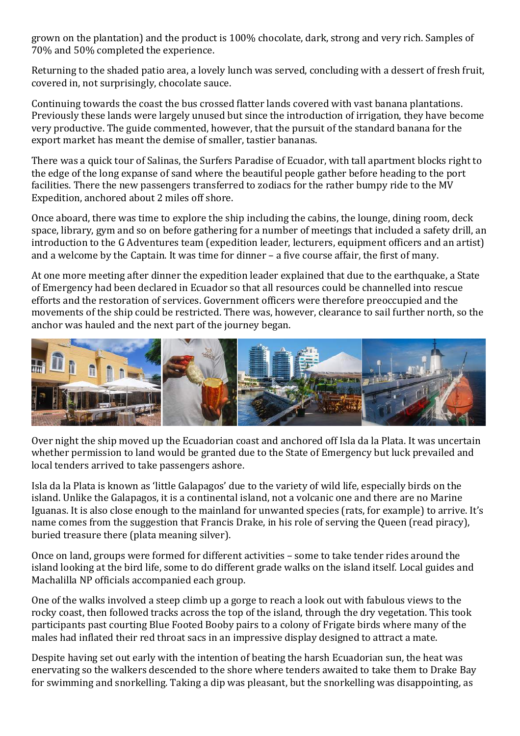grown on the plantation) and the product is 100% chocolate, dark, strong and very rich. Samples of 70% and 50% completed the experience.

Returning to the shaded patio area, a lovely lunch was served, concluding with a dessert of fresh fruit, covered in, not surprisingly, chocolate sauce.

Continuing towards the coast the bus crossed flatter lands covered with vast banana plantations. Previously these lands were largely unused but since the introduction of irrigation, they have become very productive. The guide commented, however, that the pursuit of the standard banana for the export market has meant the demise of smaller, tastier bananas.

There was a quick tour of Salinas, the Surfers Paradise of Ecuador, with tall apartment blocks right to the edge of the long expanse of sand where the beautiful people gather before heading to the port facilities. There the new passengers transferred to zodiacs for the rather bumpy ride to the MV Expedition, anchored about 2 miles off shore.

Once aboard, there was time to explore the ship including the cabins, the lounge, dining room, deck space, library, gym and so on before gathering for a number of meetings that included a safety drill, an introduction to the G Adventures team (expedition leader, lecturers, equipment officers and an artist) and a welcome by the Captain. It was time for dinner – a five course affair, the first of many.

At one more meeting after dinner the expedition leader explained that due to the earthquake, a State of Emergency had been declared in Ecuador so that all resources could be channelled into rescue efforts and the restoration of services. Government officers were therefore preoccupied and the movements of the ship could be restricted. There was, however, clearance to sail further north, so the anchor was hauled and the next part of the journey began.



Over night the ship moved up the Ecuadorian coast and anchored off Isla da la Plata. It was uncertain whether permission to land would be granted due to the State of Emergency but luck prevailed and local tenders arrived to take passengers ashore.

Isla da la Plata is known as 'little Galapagos' due to the variety of wild life, especially birds on the island. Unlike the Galapagos, it is a continental island, not a volcanic one and there are no Marine Iguanas. It is also close enough to the mainland for unwanted species (rats, for example) to arrive. It's name comes from the suggestion that Francis Drake, in his role of serving the Queen (read piracy), buried treasure there (plata meaning silver).

Once on land, groups were formed for different activities – some to take tender rides around the island looking at the bird life, some to do different grade walks on the island itself. Local guides and Machalilla NP officials accompanied each group.

One of the walks involved a steep climb up a gorge to reach a look out with fabulous views to the rocky coast, then followed tracks across the top of the island, through the dry vegetation. This took participants past courting Blue Footed Booby pairs to a colony of Frigate birds where many of the males had inflated their red throat sacs in an impressive display designed to attract a mate.

Despite having set out early with the intention of beating the harsh Ecuadorian sun, the heat was enervating so the walkers descended to the shore where tenders awaited to take them to Drake Bay for swimming and snorkelling. Taking a dip was pleasant, but the snorkelling was disappointing, as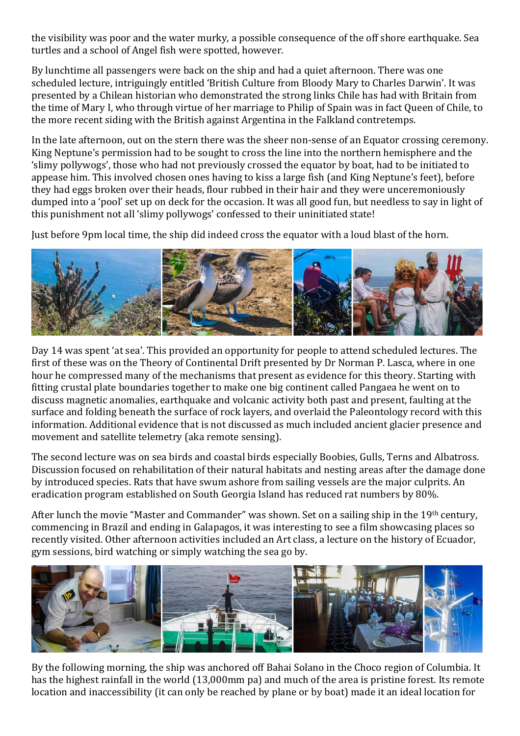the visibility was poor and the water murky, a possible consequence of the off shore earthquake. Sea turtles and a school of Angel fish were spotted, however.

By lunchtime all passengers were back on the ship and had a quiet afternoon. There was one scheduled lecture, intriguingly entitled 'British Culture from Bloody Mary to Charles Darwin'. It was presented by a Chilean historian who demonstrated the strong links Chile has had with Britain from the time of Mary I, who through virtue of her marriage to Philip of Spain was in fact Queen of Chile, to the more recent siding with the British against Argentina in the Falkland contretemps.

In the late afternoon, out on the stern there was the sheer non-sense of an Equator crossing ceremony. King Neptune's permission had to be sought to cross the line into the northern hemisphere and the 'slimy pollywogs', those who had not previously crossed the equator by boat, had to be initiated to appease him. This involved chosen ones having to kiss a large fish (and King Neptune's feet), before they had eggs broken over their heads, flour rubbed in their hair and they were unceremoniously dumped into a 'pool' set up on deck for the occasion. It was all good fun, but needless to say in light of this punishment not all 'slimy pollywogs' confessed to their uninitiated state!

Just before 9pm local time, the ship did indeed cross the equator with a loud blast of the horn.



Day 14 was spent 'at sea'. This provided an opportunity for people to attend scheduled lectures. The first of these was on the Theory of Continental Drift presented by Dr Norman P. Lasca, where in one hour he compressed many of the mechanisms that present as evidence for this theory. Starting with fitting crustal plate boundaries together to make one big continent called Pangaea he went on to discuss magnetic anomalies, earthquake and volcanic activity both past and present, faulting at the surface and folding beneath the surface of rock layers, and overlaid the Paleontology record with this information. Additional evidence that is not discussed as much included ancient glacier presence and movement and satellite telemetry (aka remote sensing).

The second lecture was on sea birds and coastal birds especially Boobies, Gulls, Terns and Albatross. Discussion focused on rehabilitation of their natural habitats and nesting areas after the damage done by introduced species. Rats that have swum ashore from sailing vessels are the major culprits. An eradication program established on South Georgia Island has reduced rat numbers by 80%.

After lunch the movie "Master and Commander" was shown. Set on a sailing ship in the 19<sup>th</sup> century, commencing in Brazil and ending in Galapagos, it was interesting to see a film showcasing places so recently visited. Other afternoon activities included an Art class, a lecture on the history of Ecuador, gym sessions, bird watching or simply watching the sea go by.



By the following morning, the ship was anchored off Bahai Solano in the Choco region of Columbia. It has the highest rainfall in the world (13,000mm pa) and much of the area is pristine forest. Its remote location and inaccessibility (it can only be reached by plane or by boat) made it an ideal location for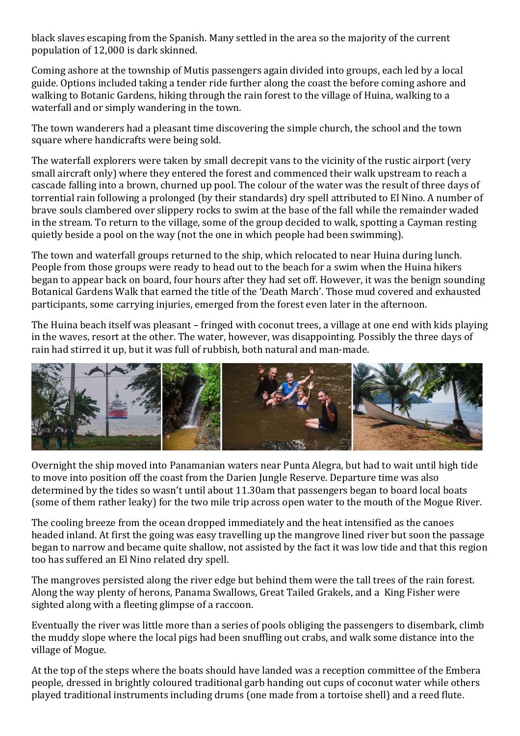black slaves escaping from the Spanish. Many settled in the area so the majority of the current population of 12,000 is dark skinned.

Coming ashore at the township of Mutis passengers again divided into groups, each led by a local guide. Options included taking a tender ride further along the coast the before coming ashore and walking to Botanic Gardens, hiking through the rain forest to the village of Huina, walking to a waterfall and or simply wandering in the town.

The town wanderers had a pleasant time discovering the simple church, the school and the town square where handicrafts were being sold.

The waterfall explorers were taken by small decrepit vans to the vicinity of the rustic airport (very small aircraft only) where they entered the forest and commenced their walk upstream to reach a cascade falling into a brown, churned up pool. The colour of the water was the result of three days of torrential rain following a prolonged (by their standards) dry spell attributed to El Nino. A number of brave souls clambered over slippery rocks to swim at the base of the fall while the remainder waded in the stream. To return to the village, some of the group decided to walk, spotting a Cayman resting quietly beside a pool on the way (not the one in which people had been swimming).

The town and waterfall groups returned to the ship, which relocated to near Huina during lunch. People from those groups were ready to head out to the beach for a swim when the Huina hikers began to appear back on board, four hours after they had set off. However, it was the benign sounding Botanical Gardens Walk that earned the title of the 'Death March'. Those mud covered and exhausted participants, some carrying injuries, emerged from the forest even later in the afternoon.

The Huina beach itself was pleasant – fringed with coconut trees, a village at one end with kids playing in the waves, resort at the other. The water, however, was disappointing. Possibly the three days of rain had stirred it up, but it was full of rubbish, both natural and man-made.



Overnight the ship moved into Panamanian waters near Punta Alegra, but had to wait until high tide to move into position off the coast from the Darien Jungle Reserve. Departure time was also determined by the tides so wasn't until about 11.30am that passengers began to board local boats (some of them rather leaky) for the two mile trip across open water to the mouth of the Mogue River.

The cooling breeze from the ocean dropped immediately and the heat intensified as the canoes headed inland. At first the going was easy travelling up the mangrove lined river but soon the passage began to narrow and became quite shallow, not assisted by the fact it was low tide and that this region too has suffered an El Nino related dry spell.

The mangroves persisted along the river edge but behind them were the tall trees of the rain forest. Along the way plenty of herons, Panama Swallows, Great Tailed Grakels, and a King Fisher were sighted along with a fleeting glimpse of a raccoon.

Eventually the river was little more than a series of pools obliging the passengers to disembark, climb the muddy slope where the local pigs had been snuffling out crabs, and walk some distance into the village of Mogue.

At the top of the steps where the boats should have landed was a reception committee of the Embera people, dressed in brightly coloured traditional garb handing out cups of coconut water while others played traditional instruments including drums (one made from a tortoise shell) and a reed flute.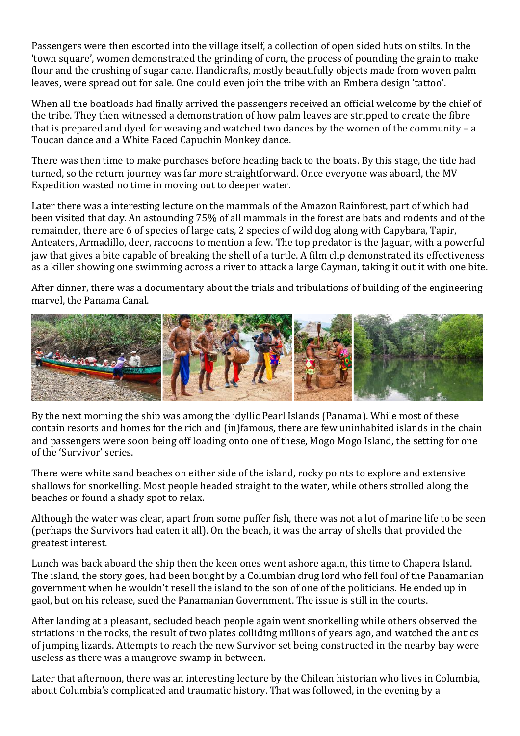Passengers were then escorted into the village itself, a collection of open sided huts on stilts. In the 'town square', women demonstrated the grinding of corn, the process of pounding the grain to make flour and the crushing of sugar cane. Handicrafts, mostly beautifully objects made from woven palm leaves, were spread out for sale. One could even join the tribe with an Embera design 'tattoo'.

When all the boatloads had finally arrived the passengers received an official welcome by the chief of the tribe. They then witnessed a demonstration of how palm leaves are stripped to create the fibre that is prepared and dyed for weaving and watched two dances by the women of the community – a Toucan dance and a White Faced Capuchin Monkey dance.

There was then time to make purchases before heading back to the boats. By this stage, the tide had turned, so the return journey was far more straightforward. Once everyone was aboard, the MV Expedition wasted no time in moving out to deeper water.

Later there was a interesting lecture on the mammals of the Amazon Rainforest, part of which had been visited that day. An astounding 75% of all mammals in the forest are bats and rodents and of the remainder, there are 6 of species of large cats, 2 species of wild dog along with Capybara, Tapir, Anteaters, Armadillo, deer, raccoons to mention a few. The top predator is the Jaguar, with a powerful jaw that gives a bite capable of breaking the shell of a turtle. A film clip demonstrated its effectiveness as a killer showing one swimming across a river to attack a large Cayman, taking it out it with one bite.

After dinner, there was a documentary about the trials and tribulations of building of the engineering marvel, the Panama Canal.



By the next morning the ship was among the idyllic Pearl Islands (Panama). While most of these contain resorts and homes for the rich and (in)famous, there are few uninhabited islands in the chain and passengers were soon being off loading onto one of these, Mogo Mogo Island, the setting for one of the 'Survivor' series.

There were white sand beaches on either side of the island, rocky points to explore and extensive shallows for snorkelling. Most people headed straight to the water, while others strolled along the beaches or found a shady spot to relax.

Although the water was clear, apart from some puffer fish, there was not a lot of marine life to be seen (perhaps the Survivors had eaten it all). On the beach, it was the array of shells that provided the greatest interest.

Lunch was back aboard the ship then the keen ones went ashore again, this time to Chapera Island. The island, the story goes, had been bought by a Columbian drug lord who fell foul of the Panamanian government when he wouldn't resell the island to the son of one of the politicians. He ended up in gaol, but on his release, sued the Panamanian Government. The issue is still in the courts.

After landing at a pleasant, secluded beach people again went snorkelling while others observed the striations in the rocks, the result of two plates colliding millions of years ago, and watched the antics of jumping lizards. Attempts to reach the new Survivor set being constructed in the nearby bay were useless as there was a mangrove swamp in between.

Later that afternoon, there was an interesting lecture by the Chilean historian who lives in Columbia, about Columbia's complicated and traumatic history. That was followed, in the evening by a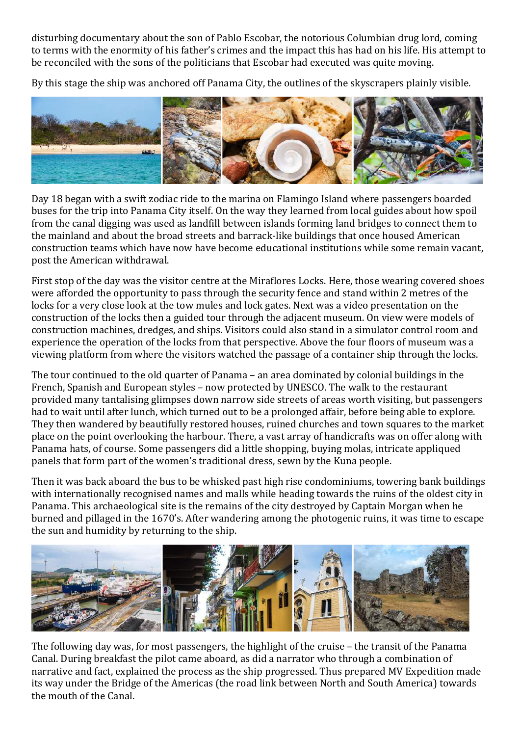disturbing documentary about the son of Pablo Escobar, the notorious Columbian drug lord, coming to terms with the enormity of his father's crimes and the impact this has had on his life. His attempt to be reconciled with the sons of the politicians that Escobar had executed was quite moving.

By this stage the ship was anchored off Panama City, the outlines of the skyscrapers plainly visible.



Day 18 began with a swift zodiac ride to the marina on Flamingo Island where passengers boarded buses for the trip into Panama City itself. On the way they learned from local guides about how spoil from the canal digging was used as landfill between islands forming land bridges to connect them to the mainland and about the broad streets and barrack-like buildings that once housed American construction teams which have now have become educational institutions while some remain vacant, post the American withdrawal.

First stop of the day was the visitor centre at the Miraflores Locks. Here, those wearing covered shoes were afforded the opportunity to pass through the security fence and stand within 2 metres of the locks for a very close look at the tow mules and lock gates. Next was a video presentation on the construction of the locks then a guided tour through the adjacent museum. On view were models of construction machines, dredges, and ships. Visitors could also stand in a simulator control room and experience the operation of the locks from that perspective. Above the four floors of museum was a viewing platform from where the visitors watched the passage of a container ship through the locks.

The tour continued to the old quarter of Panama – an area dominated by colonial buildings in the French, Spanish and European styles – now protected by UNESCO. The walk to the restaurant provided many tantalising glimpses down narrow side streets of areas worth visiting, but passengers had to wait until after lunch, which turned out to be a prolonged affair, before being able to explore. They then wandered by beautifully restored houses, ruined churches and town squares to the market place on the point overlooking the harbour. There, a vast array of handicrafts was on offer along with Panama hats, of course. Some passengers did a little shopping, buying molas, intricate appliqued panels that form part of the women's traditional dress, sewn by the Kuna people.

Then it was back aboard the bus to be whisked past high rise condominiums, towering bank buildings with internationally recognised names and malls while heading towards the ruins of the oldest city in Panama. This archaeological site is the remains of the city destroyed by Captain Morgan when he burned and pillaged in the 1670's. After wandering among the photogenic ruins, it was time to escape the sun and humidity by returning to the ship.



The following day was, for most passengers, the highlight of the cruise – the transit of the Panama Canal. During breakfast the pilot came aboard, as did a narrator who through a combination of narrative and fact, explained the process as the ship progressed. Thus prepared MV Expedition made its way under the Bridge of the Americas (the road link between North and South America) towards the mouth of the Canal.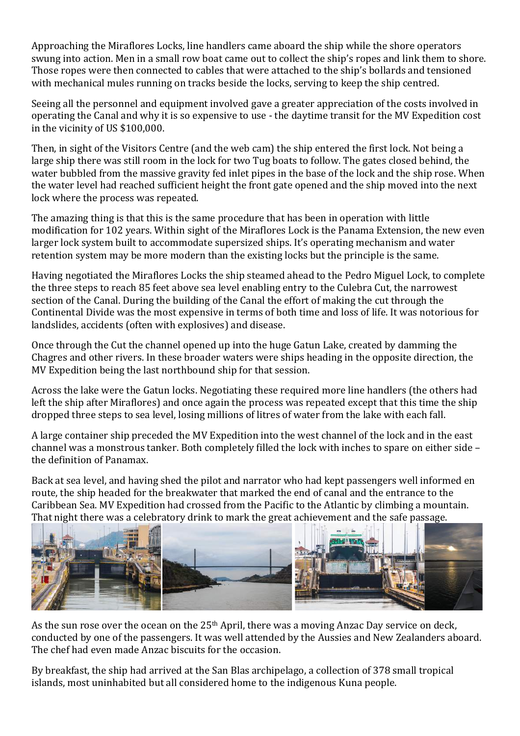Approaching the Miraflores Locks, line handlers came aboard the ship while the shore operators swung into action. Men in a small row boat came out to collect the ship's ropes and link them to shore. Those ropes were then connected to cables that were attached to the ship's bollards and tensioned with mechanical mules running on tracks beside the locks, serving to keep the ship centred.

Seeing all the personnel and equipment involved gave a greater appreciation of the costs involved in operating the Canal and why it is so expensive to use - the daytime transit for the MV Expedition cost in the vicinity of US \$100,000.

Then, in sight of the Visitors Centre (and the web cam) the ship entered the first lock. Not being a large ship there was still room in the lock for two Tug boats to follow. The gates closed behind, the water bubbled from the massive gravity fed inlet pipes in the base of the lock and the ship rose. When the water level had reached sufficient height the front gate opened and the ship moved into the next lock where the process was repeated.

The amazing thing is that this is the same procedure that has been in operation with little modification for 102 years. Within sight of the Miraflores Lock is the Panama Extension, the new even larger lock system built to accommodate supersized ships. It's operating mechanism and water retention system may be more modern than the existing locks but the principle is the same.

Having negotiated the Miraflores Locks the ship steamed ahead to the Pedro Miguel Lock, to complete the three steps to reach 85 feet above sea level enabling entry to the Culebra Cut, the narrowest section of the Canal. During the building of the Canal the effort of making the cut through the Continental Divide was the most expensive in terms of both time and loss of life. It was notorious for landslides, accidents (often with explosives) and disease.

Once through the Cut the channel opened up into the huge Gatun Lake, created by damming the Chagres and other rivers. In these broader waters were ships heading in the opposite direction, the MV Expedition being the last northbound ship for that session.

Across the lake were the Gatun locks. Negotiating these required more line handlers (the others had left the ship after Miraflores) and once again the process was repeated except that this time the ship dropped three steps to sea level, losing millions of litres of water from the lake with each fall.

A large container ship preceded the MV Expedition into the west channel of the lock and in the east channel was a monstrous tanker. Both completely filled the lock with inches to spare on either side – the definition of Panamax.

Back at sea level, and having shed the pilot and narrator who had kept passengers well informed en route, the ship headed for the breakwater that marked the end of canal and the entrance to the Caribbean Sea. MV Expedition had crossed from the Pacific to the Atlantic by climbing a mountain. That night there was a celebratory drink to mark the great achievement and the safe passage.



As the sun rose over the ocean on the 25<sup>th</sup> April, there was a moving Anzac Day service on deck, conducted by one of the passengers. It was well attended by the Aussies and New Zealanders aboard. The chef had even made Anzac biscuits for the occasion.

By breakfast, the ship had arrived at the San Blas archipelago, a collection of 378 small tropical islands, most uninhabited but all considered home to the indigenous Kuna people.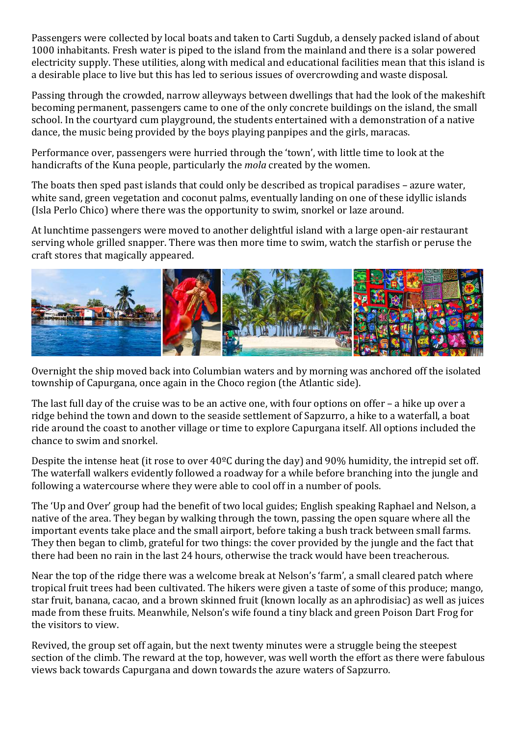Passengers were collected by local boats and taken to Carti Sugdub, a densely packed island of about 1000 inhabitants. Fresh water is piped to the island from the mainland and there is a solar powered electricity supply. These utilities, along with medical and educational facilities mean that this island is a desirable place to live but this has led to serious issues of overcrowding and waste disposal.

Passing through the crowded, narrow alleyways between dwellings that had the look of the makeshift becoming permanent, passengers came to one of the only concrete buildings on the island, the small school. In the courtyard cum playground, the students entertained with a demonstration of a native dance, the music being provided by the boys playing panpipes and the girls, maracas.

Performance over, passengers were hurried through the 'town', with little time to look at the handicrafts of the Kuna people, particularly the *mola* created by the women.

The boats then sped past islands that could only be described as tropical paradises – azure water, white sand, green vegetation and coconut palms, eventually landing on one of these idyllic islands (Isla Perlo Chico) where there was the opportunity to swim, snorkel or laze around.

At lunchtime passengers were moved to another delightful island with a large open-air restaurant serving whole grilled snapper. There was then more time to swim, watch the starfish or peruse the craft stores that magically appeared.



Overnight the ship moved back into Columbian waters and by morning was anchored off the isolated township of Capurgana, once again in the Choco region (the Atlantic side).

The last full day of the cruise was to be an active one, with four options on offer – a hike up over a ridge behind the town and down to the seaside settlement of Sapzurro, a hike to a waterfall, a boat ride around the coast to another village or time to explore Capurgana itself. All options included the chance to swim and snorkel.

Despite the intense heat (it rose to over 40ºC during the day) and 90% humidity, the intrepid set off. The waterfall walkers evidently followed a roadway for a while before branching into the jungle and following a watercourse where they were able to cool off in a number of pools.

The 'Up and Over' group had the benefit of two local guides; English speaking Raphael and Nelson, a native of the area. They began by walking through the town, passing the open square where all the important events take place and the small airport, before taking a bush track between small farms. They then began to climb, grateful for two things: the cover provided by the jungle and the fact that there had been no rain in the last 24 hours, otherwise the track would have been treacherous.

Near the top of the ridge there was a welcome break at Nelson's 'farm', a small cleared patch where tropical fruit trees had been cultivated. The hikers were given a taste of some of this produce; mango, star fruit, banana, cacao, and a brown skinned fruit (known locally as an aphrodisiac) as well as juices made from these fruits. Meanwhile, Nelson's wife found a tiny black and green Poison Dart Frog for the visitors to view.

Revived, the group set off again, but the next twenty minutes were a struggle being the steepest section of the climb. The reward at the top, however, was well worth the effort as there were fabulous views back towards Capurgana and down towards the azure waters of Sapzurro.